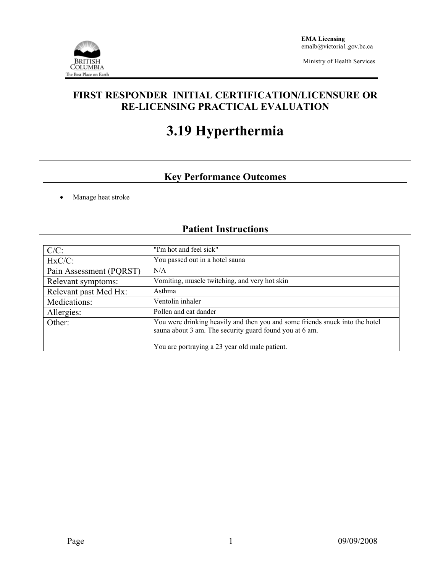

Ministry of Health Services

### **FIRST RESPONDER INITIAL CERTIFICATION/LICENSURE OR RE-LICENSING PRACTICAL EVALUATION**

# **3.19 Hyperthermia**

## **Key Performance Outcomes**

• Manage heat stroke

# **Patient Instructions**

| $C/C$ :                 | "I'm hot and feel sick"                                                                                                                 |  |  |
|-------------------------|-----------------------------------------------------------------------------------------------------------------------------------------|--|--|
| $HxC/C$ :               | You passed out in a hotel sauna                                                                                                         |  |  |
| Pain Assessment (PQRST) | N/A                                                                                                                                     |  |  |
| Relevant symptoms:      | Vomiting, muscle twitching, and very hot skin                                                                                           |  |  |
| Relevant past Med Hx:   | Asthma                                                                                                                                  |  |  |
| Medications:            | Ventolin inhaler                                                                                                                        |  |  |
| Allergies:              | Pollen and cat dander                                                                                                                   |  |  |
| Other:                  | You were drinking heavily and then you and some friends snuck into the hotel<br>sauna about 3 am. The security guard found you at 6 am. |  |  |
|                         | You are portraying a 23 year old male patient.                                                                                          |  |  |